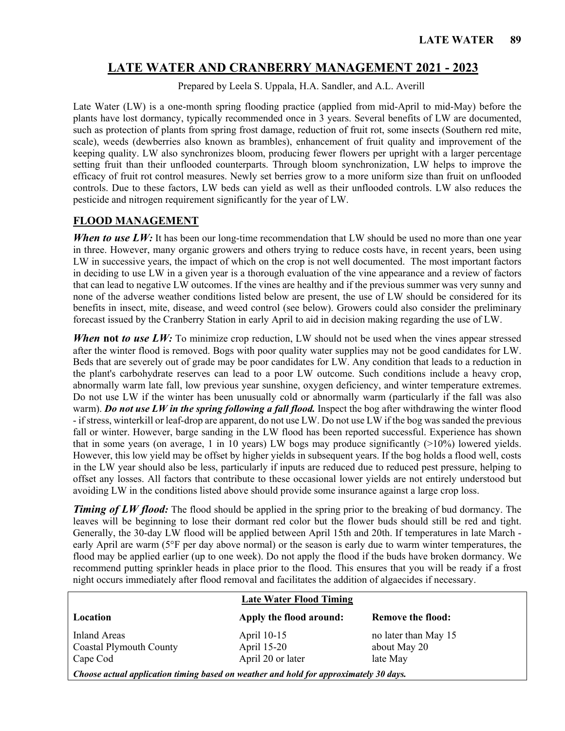# **LATE WATER AND CRANBERRY MANAGEMENT 2021 - 2023**

Prepared by Leela S. Uppala, H.A. Sandler, and A.L. Averill

Late Water (LW) is a one-month spring flooding practice (applied from mid-April to mid-May) before the plants have lost dormancy, typically recommended once in 3 years. Several benefits of LW are documented, such as protection of plants from spring frost damage, reduction of fruit rot, some insects (Southern red mite, scale), weeds (dewberries also known as brambles), enhancement of fruit quality and improvement of the keeping quality. LW also synchronizes bloom, producing fewer flowers per upright with a larger percentage setting fruit than their unflooded counterparts. Through bloom synchronization, LW helps to improve the efficacy of fruit rot control measures. Newly set berries grow to a more uniform size than fruit on unflooded controls. Due to these factors, LW beds can yield as well as their unflooded controls. LW also reduces the pesticide and nitrogen requirement significantly for the year of LW.

#### **FLOOD MANAGEMENT**

*When to use LW*: It has been our long-time recommendation that LW should be used no more than one year in three. However, many organic growers and others trying to reduce costs have, in recent years, been using LW in successive years, the impact of which on the crop is not well documented. The most important factors in deciding to use LW in a given year is a thorough evaluation of the vine appearance and a review of factors that can lead to negative LW outcomes. If the vines are healthy and if the previous summer was very sunny and none of the adverse weather conditions listed below are present, the use of LW should be considered for its benefits in insect, mite, disease, and weed control (see below). Growers could also consider the preliminary forecast issued by the Cranberry Station in early April to aid in decision making regarding the use of LW.

*When* not *to use LW*: To minimize crop reduction, LW should not be used when the vines appear stressed after the winter flood is removed. Bogs with poor quality water supplies may not be good candidates for LW. Beds that are severely out of grade may be poor candidates for LW. Any condition that leads to a reduction in the plant's carbohydrate reserves can lead to a poor LW outcome. Such conditions include a heavy crop, abnormally warm late fall, low previous year sunshine, oxygen deficiency, and winter temperature extremes. Do not use LW if the winter has been unusually cold or abnormally warm (particularly if the fall was also warm). *Do not use LW in the spring following a fall flood.* Inspect the bog after withdrawing the winter flood - if stress, winterkill or leaf-drop are apparent, do not use LW. Do not use LW if the bog was sanded the previous fall or winter. However, barge sanding in the LW flood has been reported successful. Experience has shown that in some years (on average, 1 in 10 years) LW bogs may produce significantly (>10%) lowered yields. However, this low yield may be offset by higher yields in subsequent years. If the bog holds a flood well, costs in the LW year should also be less, particularly if inputs are reduced due to reduced pest pressure, helping to offset any losses. All factors that contribute to these occasional lower yields are not entirely understood but avoiding LW in the conditions listed above should provide some insurance against a large crop loss.

*Timing of LW flood:* The flood should be applied in the spring prior to the breaking of bud dormancy. The leaves will be beginning to lose their dormant red color but the flower buds should still be red and tight. Generally, the 30-day LW flood will be applied between April 15th and 20th. If temperatures in late March early April are warm (5°F per day above normal) or the season is early due to warm winter temperatures, the flood may be applied earlier (up to one week). Do not apply the flood if the buds have broken dormancy. We recommend putting sprinkler heads in place prior to the flood. This ensures that you will be ready if a frost night occurs immediately after flood removal and facilitates the addition of algaecides if necessary.

|                                                                                       | <b>Late Water Flood Timing</b> |                          |  |  |
|---------------------------------------------------------------------------------------|--------------------------------|--------------------------|--|--|
| Location                                                                              | Apply the flood around:        | <b>Remove the flood:</b> |  |  |
| Inland Areas                                                                          | April 10-15                    | no later than May 15     |  |  |
| <b>Coastal Plymouth County</b>                                                        | April 15-20                    | about May 20             |  |  |
| Cape Cod                                                                              | April 20 or later              | late May                 |  |  |
| Choose actual application timing based on weather and hold for approximately 30 days. |                                |                          |  |  |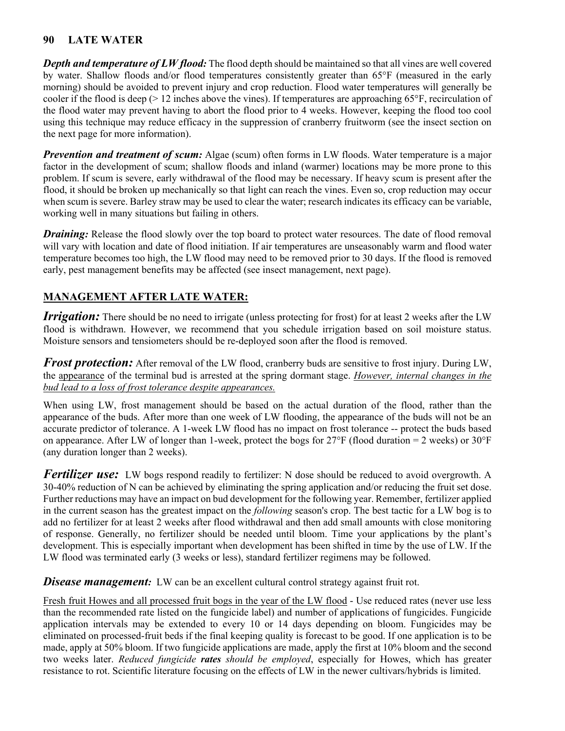### **90 LATE WATER**

*Depth and temperature of LW flood:* The flood depth should be maintained so that all vines are well covered by water. Shallow floods and/or flood temperatures consistently greater than 65°F (measured in the early morning) should be avoided to prevent injury and crop reduction. Flood water temperatures will generally be cooler if the flood is deep (> 12 inches above the vines). If temperatures are approaching 65°F, recirculation of the flood water may prevent having to abort the flood prior to 4 weeks. However, keeping the flood too cool using this technique may reduce efficacy in the suppression of cranberry fruitworm (see the insect section on the next page for more information).

*Prevention and treatment of scum:* Algae (scum) often forms in LW floods. Water temperature is a major factor in the development of scum; shallow floods and inland (warmer) locations may be more prone to this problem. If scum is severe, early withdrawal of the flood may be necessary. If heavy scum is present after the flood, it should be broken up mechanically so that light can reach the vines. Even so, crop reduction may occur when scum is severe. Barley straw may be used to clear the water; research indicates its efficacy can be variable, working well in many situations but failing in others.

*Draining:* Release the flood slowly over the top board to protect water resources. The date of flood removal will vary with location and date of flood initiation. If air temperatures are unseasonably warm and flood water temperature becomes too high, the LW flood may need to be removed prior to 30 days. If the flood is removed early, pest management benefits may be affected (see insect management, next page).

# **MANAGEMENT AFTER LATE WATER:**

*Irrigation:* There should be no need to irrigate (unless protecting for frost) for at least 2 weeks after the LW flood is withdrawn. However, we recommend that you schedule irrigation based on soil moisture status. Moisture sensors and tensiometers should be re-deployed soon after the flood is removed.

*Frost protection:* After removal of the LW flood, cranberry buds are sensitive to frost injury. During LW, the appearance of the terminal bud is arrested at the spring dormant stage. *However, internal changes in the bud lead to a loss of frost tolerance despite appearances.* 

When using LW, frost management should be based on the actual duration of the flood, rather than the appearance of the buds. After more than one week of LW flooding, the appearance of the buds will not be an accurate predictor of tolerance. A 1-week LW flood has no impact on frost tolerance -- protect the buds based on appearance. After LW of longer than 1-week, protect the bogs for  $27^{\circ}F$  (flood duration = 2 weeks) or  $30^{\circ}F$ (any duration longer than 2 weeks).

*Fertilizer use:* LW bogs respond readily to fertilizer: N dose should be reduced to avoid overgrowth. A 30-40% reduction of N can be achieved by eliminating the spring application and/or reducing the fruit set dose. Further reductions may have an impact on bud development for the following year. Remember, fertilizer applied in the current season has the greatest impact on the *following* season's crop. The best tactic for a LW bog is to add no fertilizer for at least 2 weeks after flood withdrawal and then add small amounts with close monitoring of response. Generally, no fertilizer should be needed until bloom. Time your applications by the plant's development. This is especially important when development has been shifted in time by the use of LW. If the LW flood was terminated early (3 weeks or less), standard fertilizer regimens may be followed.

**Disease management:** LW can be an excellent cultural control strategy against fruit rot.

Fresh fruit Howes and all processed fruit bogs in the year of the LW flood - Use reduced rates (never use less than the recommended rate listed on the fungicide label) and number of applications of fungicides. Fungicide application intervals may be extended to every 10 or 14 days depending on bloom. Fungicides may be eliminated on processed-fruit beds if the final keeping quality is forecast to be good. If one application is to be made, apply at 50% bloom. If two fungicide applications are made, apply the first at 10% bloom and the second two weeks later. *Reduced fungicide rates should be employed*, especially for Howes, which has greater resistance to rot. Scientific literature focusing on the effects of LW in the newer cultivars/hybrids is limited.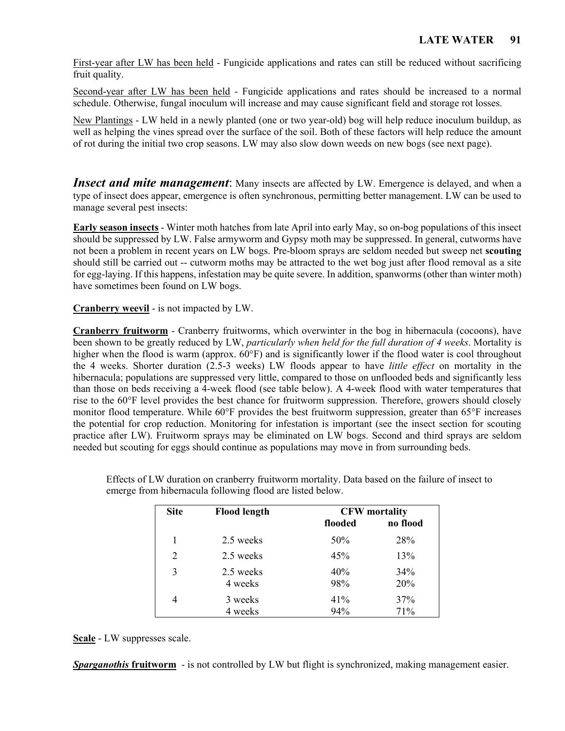First-year after LW has been held - Fungicide applications and rates can still be reduced without sacrificing fruit quality.

Second-year after LW has been held - Fungicide applications and rates should be increased to a normal schedule. Otherwise, fungal inoculum will increase and may cause significant field and storage rot losses.

New Plantings - LW held in a newly planted (one or two year-old) bog will help reduce inoculum buildup, as well as helping the vines spread over the surface of the soil. Both of these factors will help reduce the amount of rot during the initial two crop seasons. LW may also slow down weeds on new bogs (see next page).

**Insect and mite management:** Many insects are affected by LW. Emergence is delayed, and when a type of insect does appear, emergence is often synchronous, permitting better management. LW can be used to manage several pest insects:

**Early season insects** - Winter moth hatches from late April into early May, so on-bog populations of this insect should be suppressed by LW. False armyworm and Gypsy moth may be suppressed. In general, cutworms have not been a problem in recent years on LW bogs. Pre-bloom sprays are seldom needed but sweep net **scouting** should still be carried out -- cutworm moths may be attracted to the wet bog just after flood removal as a site for egg-laying. If this happens, infestation may be quite severe. In addition, spanworms (other than winter moth) have sometimes been found on LW bogs.

**Cranberry weevil** - is not impacted by LW.

**Cranberry fruitworm** - Cranberry fruitworms, which overwinter in the bog in hibernacula (cocoons), have been shown to be greatly reduced by LW, *particularly when held for the full duration of 4 weeks*. Mortality is higher when the flood is warm (approx. 60°F) and is significantly lower if the flood water is cool throughout the 4 weeks. Shorter duration (2.5-3 weeks) LW floods appear to have *little effect* on mortality in the hibernacula; populations are suppressed very little, compared to those on unflooded beds and significantly less than those on beds receiving a 4-week flood (see table below). A 4-week flood with water temperatures that rise to the 60°F level provides the best chance for fruitworm suppression. Therefore, growers should closely monitor flood temperature. While 60°F provides the best fruitworm suppression, greater than 65°F increases the potential for crop reduction. Monitoring for infestation is important (see the insect section for scouting practice after LW). Fruitworm sprays may be eliminated on LW bogs. Second and third sprays are seldom needed but scouting for eggs should continue as populations may move in from surrounding beds.

| <b>Site</b> | <b>Flood length</b>  | <b>CFW</b> mortality |            |
|-------------|----------------------|----------------------|------------|
|             |                      | flooded              | no flood   |
| 1           | 2.5 weeks            | 50%                  | 28%        |
| 2           | 2.5 weeks            | 45%                  | 13%        |
| 3           | 2.5 weeks<br>4 weeks | 40%<br>98%           | 34%<br>20% |
| 4           | 3 weeks<br>4 weeks   | 41%<br>94%           | 37%<br>71% |

Effects of LW duration on cranberry fruitworm mortality. Data based on the failure of insect to emerge from hibernacula following flood are listed below.

**Scale** - LW suppresses scale.

*Sparganothis* **fruitworm** - is not controlled by LW but flight is synchronized, making management easier.